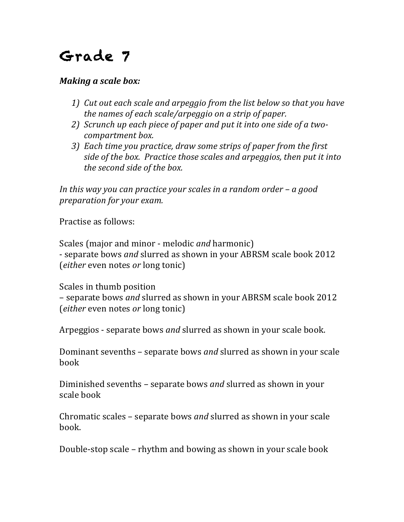## Grade 7

## *Making a scale box:*

- *1)* Cut out each scale and arpeggio from the list below so that you have *the names of each scale/arpeggio on a strip of paper.*
- 2) *Scrunch up each piece of paper and put it into one side of a twocompartment box.*
- *3*) Each *time* you practice, draw some strips of paper from the first *side of the box. Practice those scales and arpeggios, then put it into the second side of the box.*

*In this* way you can practice your scales in a random order – a good *preparation* for your exam.

Practise as follows:

Scales (major and minor - melodic *and* harmonic) - separate bows *and* slurred as shown in your ABRSM scale book 2012 (*either* even notes *or* long tonic)

Scales in thumb position – separate bows *and* slurred as shown in your ABRSM scale book 2012 (*either* even notes *or* long tonic)

Arpeggios - separate bows *and* slurred as shown in your scale book.

Dominant sevenths – separate bows *and* slurred as shown in your scale book

Diminished sevenths – separate bows *and* slurred as shown in your scale book

Chromatic scales – separate bows *and* slurred as shown in your scale book.

Double-stop scale – rhythm and bowing as shown in your scale book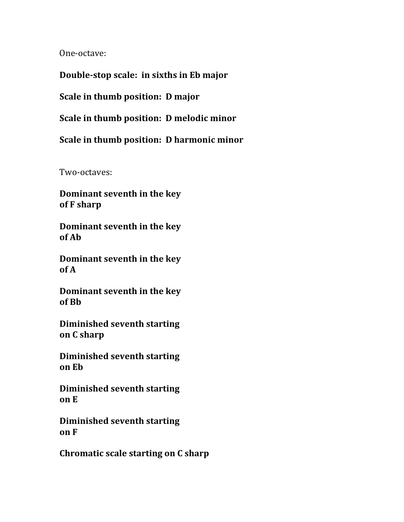One-octave:

**Double-stop scale: in sixths in Eb major**

**Scale** in thumb position: **D** major

**Scale in thumb position: D melodic minor** 

**Scale in thumb position: D harmonic minor** 

Two-octaves:

**Dominant seventh in the key of F sharp**

**Dominant seventh in the key of Ab**

**Dominant seventh in the key of A**

**Dominant seventh in the key of Bb**

**Diminished seventh starting on C sharp**

**Diminished seventh starting on Eb**

**Diminished seventh starting on E**

**Diminished seventh starting on F**

**Chromatic scale starting on C sharp**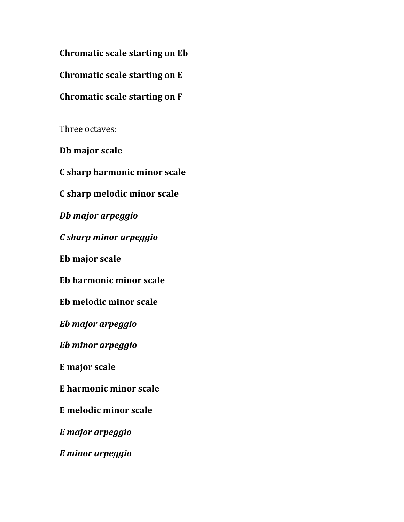**Chromatic scale starting on Eb** 

**Chromatic scale starting on E**

## **Chromatic scale starting on F**

Three octaves:

**Db major scale**

**C sharp harmonic minor scale**

**C sharp melodic minor scale**

*Db major arpeggio*

*C sharp minor arpeggio*

**Eb major scale**

**Eb harmonic minor scale**

**Eb melodic minor scale**

*Eb major arpeggio*

*Eb minor arpeggio*

**E major scale**

**E harmonic minor scale**

**E melodic minor scale**

*E major arpeggio*

*E minor arpeggio*